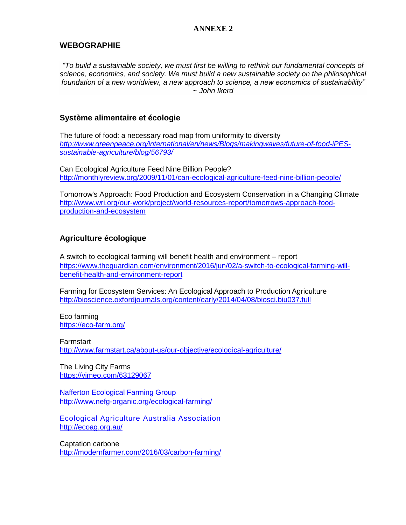#### **ANNEXE 2**

### **WEBOGRAPHIE**

*"To build a sustainable society, we must first be willing to rethink our fundamental concepts of science, economics, and society. We must build a new sustainable society on the philosophical foundation of a new worldview, a new approach to science, a new economics of sustainability" ~ John Ikerd*

### **Système alimentaire et écologie**

The future of food: a necessary road map from uniformity to diversity *[http://www.greenpeace.org/international/en/news/Blogs/makingwaves/future-of-food-iPES](http://www.greenpeace.org/international/en/news/Blogs/makingwaves/future-of-food-iPES-sustainable-agriculture/blog/56793/)[sustainable-agriculture/blog/56793/](http://www.greenpeace.org/international/en/news/Blogs/makingwaves/future-of-food-iPES-sustainable-agriculture/blog/56793/)*

Can Ecological Agriculture Feed Nine Billion People? <http://monthlyreview.org/2009/11/01/can-ecological-agriculture-feed-nine-billion-people/>

Tomorrow's Approach: Food Production and Ecosystem Conservation in a Changing Climate [http://www.wri.org/our-work/project/world-resources-report/tomorrows-approach-food](http://www.wri.org/our-work/project/world-resources-report/tomorrows-approach-food-production-and-ecosystem)[production-and-ecosystem](http://www.wri.org/our-work/project/world-resources-report/tomorrows-approach-food-production-and-ecosystem)

# **Agriculture écologique**

A switch to ecological farming will benefit health and environment – report [https://www.theguardian.com/environment/2016/jun/02/a-switch-to-ecological-farming-will](https://www.theguardian.com/environment/2016/jun/02/a-switch-to-ecological-farming-will-benefit-health-and-environment-report)[benefit-health-and-environment-report](https://www.theguardian.com/environment/2016/jun/02/a-switch-to-ecological-farming-will-benefit-health-and-environment-report)

Farming for Ecosystem Services: An Ecological Approach to Production Agriculture <http://bioscience.oxfordjournals.org/content/early/2014/04/08/biosci.biu037.full>

Eco farming <https://eco-farm.org/>

**Farmstart** <http://www.farmstart.ca/about-us/our-objective/ecological-agriculture/>

The Living City Farms <https://vimeo.com/63129067>

[Nafferton Ecological Farming Group](http://www.nefg-organic.org/) <http://www.nefg-organic.org/ecological-farming/>

[Ecological Agriculture Australia Association](http://ecoag.org.au/) <http://ecoag.org.au/>

Captation carbone <http://modernfarmer.com/2016/03/carbon-farming/>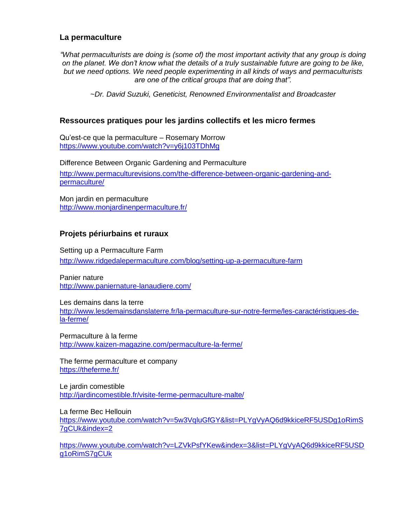### **La permaculture**

*"What permaculturists are doing is (some of) the most important activity that any group is doing on the planet. We don't know what the details of a truly sustainable future are going to be like, but we need options. We need people experimenting in all kinds of ways and permaculturists are one of the critical groups that are doing that".*

*~Dr. David Suzuki, Geneticist, Renowned Environmentalist and Broadcaster*

### **Ressources pratiques pour les jardins collectifs et les micro fermes**

Qu'est-ce que la permaculture – Rosemary Morrow <https://www.youtube.com/watch?v=y6j103TDhMg>

Difference Between Organic Gardening and Permaculture

[http://www.permaculturevisions.com/the-difference-between-organic-gardening-and](http://www.permaculturevisions.com/the-difference-between-organic-gardening-and-permaculture/)[permaculture/](http://www.permaculturevisions.com/the-difference-between-organic-gardening-and-permaculture/)

Mon jardin en permaculture <http://www.monjardinenpermaculture.fr/>

### **Projets périurbains et ruraux**

Setting up a Permaculture Farm

<http://www.ridgedalepermaculture.com/blog/setting-up-a-permaculture-farm>

Panier nature <http://www.paniernature-lanaudiere.com/>

Les demains dans la terre [http://www.lesdemainsdanslaterre.fr/la-permaculture-sur-notre-ferme/les-caractéristiques-de](http://www.lesdemainsdanslaterre.fr/la-permaculture-sur-notre-ferme/les-caractéristiques-de-la-ferme/)[la-ferme/](http://www.lesdemainsdanslaterre.fr/la-permaculture-sur-notre-ferme/les-caractéristiques-de-la-ferme/)

Permaculture à la ferme <http://www.kaizen-magazine.com/permaculture-la-ferme/>

The ferme permaculture et company <https://theferme.fr/>

Le jardin comestible <http://jardincomestible.fr/visite-ferme-permaculture-malte/>

La ferme Bec Hellouin [https://www.youtube.com/watch?v=5w3VqluGfGY&list=PLYgVyAQ6d9kkiceRF5USDg1oRimS](https://www.youtube.com/watch?v=5w3VqluGfGY&list=PLYgVyAQ6d9kkiceRF5USDg1oRimS7gCUk&index=2) [7gCUk&index=2](https://www.youtube.com/watch?v=5w3VqluGfGY&list=PLYgVyAQ6d9kkiceRF5USDg1oRimS7gCUk&index=2)

[https://www.youtube.com/watch?v=LZVkPsfYKew&index=3&list=PLYgVyAQ6d9kkiceRF5USD](https://www.youtube.com/watch?v=LZVkPsfYKew&index=3&list=PLYgVyAQ6d9kkiceRF5USDg1oRimS7gCUk) [g1oRimS7gCUk](https://www.youtube.com/watch?v=LZVkPsfYKew&index=3&list=PLYgVyAQ6d9kkiceRF5USDg1oRimS7gCUk)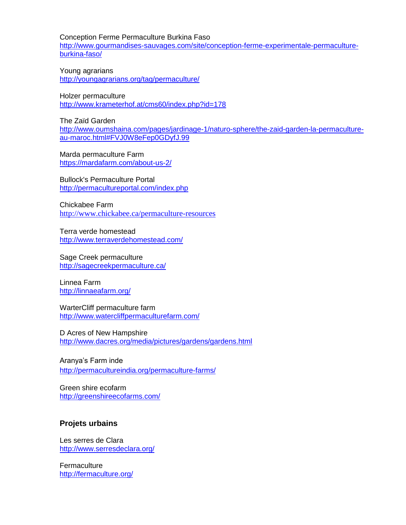Conception Ferme Permaculture Burkina Faso [http://www.gourmandises-sauvages.com/site/conception-ferme-experimentale-permaculture](http://www.gourmandises-sauvages.com/site/conception-ferme-experimentale-permaculture-burkina-faso/)[burkina-faso/](http://www.gourmandises-sauvages.com/site/conception-ferme-experimentale-permaculture-burkina-faso/)

Young agrarians <http://youngagrarians.org/tag/permaculture/>

Holzer permaculture <http://www.krameterhof.at/cms60/index.php?id=178>

The Zaïd Garden [http://www.oumshaina.com/pages/jardinage-1/naturo-sphere/the-zaid-garden-la-permaculture](http://www.oumshaina.com/pages/jardinage-1/naturo-sphere/the-zaid-garden-la-permaculture-au-maroc.html#FVJ0W8eFep0GDyfJ.99)[au-maroc.html#FVJ0W8eFep0GDyfJ.99](http://www.oumshaina.com/pages/jardinage-1/naturo-sphere/the-zaid-garden-la-permaculture-au-maroc.html#FVJ0W8eFep0GDyfJ.99)

Marda permaculture Farm <https://mardafarm.com/about-us-2/>

Bullock's Permaculture Portal <http://permacultureportal.com/index.php>

Chickabee Farm <http://www.chickabee.ca/permaculture-resources>

Terra verde homestead <http://www.terraverdehomestead.com/>

Sage Creek permaculture <http://sagecreekpermaculture.ca/>

Linnea Farm <http://linnaeafarm.org/>

WarterCliff permaculture farm <http://www.watercliffpermaculturefarm.com/>

D Acres of New Hampshire <http://www.dacres.org/media/pictures/gardens/gardens.html>

Aranya's Farm inde <http://permacultureindia.org/permaculture-farms/>

Green shire ecofarm <http://greenshireecofarms.com/>

# **Projets urbains**

Les serres de Clara <http://www.serresdeclara.org/>

**Fermaculture** <http://fermaculture.org/>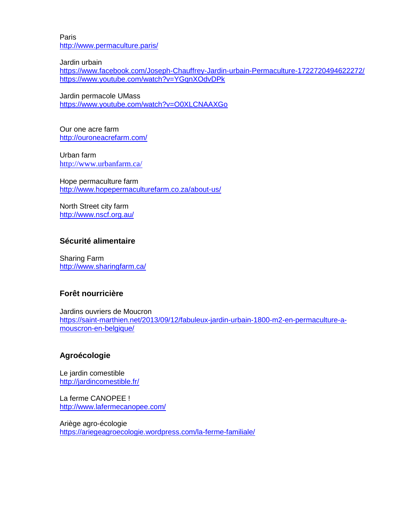Paris <http://www.permaculture.paris/>

Jardin urbain

<https://www.facebook.com/Joseph-Chauffrey-Jardin-urbain-Permaculture-1722720494622272/> <https://www.youtube.com/watch?v=YGqnXOdvDPk>

Jardin permacole UMass <https://www.youtube.com/watch?v=O0XLCNAAXGo>

Our one acre farm <http://ouroneacrefarm.com/>

Urban farm <http://www.urbanfarm.ca/>

Hope permaculture farm <http://www.hopepermaculturefarm.co.za/about-us/>

North Street city farm <http://www.nscf.org.au/>

### **Sécurité alimentaire**

Sharing Farm <http://www.sharingfarm.ca/>

#### **Forêt nourricière**

Jardins ouvriers de Moucron [https://saint-marthien.net/2013/09/12/fabuleux-jardin-urbain-1800-m2-en-permaculture-a](https://saint-marthien.net/2013/09/12/fabuleux-jardin-urbain-1800-m2-en-permaculture-a-mouscron-en-belgique/)[mouscron-en-belgique/](https://saint-marthien.net/2013/09/12/fabuleux-jardin-urbain-1800-m2-en-permaculture-a-mouscron-en-belgique/)

# **Agroécologie**

Le jardin comestible <http://jardincomestible.fr/>

La ferme CANOPEE ! <http://www.lafermecanopee.com/>

Ariège agro-écologie <https://ariegeagroecologie.wordpress.com/la-ferme-familiale/>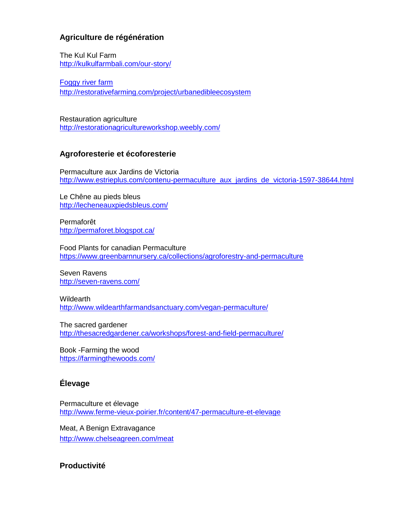# **Agriculture de régénération**

The Kul Kul Farm <http://kulkulfarmbali.com/our-story/>

[Foggy river farm](http://restorativefarming.com/) <http://restorativefarming.com/project/urbanedibleecosystem>

Restauration agriculture <http://restorationagricultureworkshop.weebly.com/>

#### **Agroforesterie et écoforesterie**

Permaculture aux Jardins de Victoria [http://www.estrieplus.com/contenu-permaculture\\_aux\\_jardins\\_de\\_victoria-1597-38644.html](http://www.estrieplus.com/contenu-permaculture_aux_jardins_de_victoria-1597-38644.html)

Le Chêne au pieds bleus <http://lecheneauxpiedsbleus.com/>

Permaforêt <http://permaforet.blogspot.ca/>

Food Plants for canadian Permaculture <https://www.greenbarnnursery.ca/collections/agroforestry-and-permaculture>

Seven Ravens <http://seven-ravens.com/>

**Wildearth** <http://www.wildearthfarmandsanctuary.com/vegan-permaculture/>

The sacred gardener <http://thesacredgardener.ca/workshops/forest-and-field-permaculture/>

Book -Farming the wood <https://farmingthewoods.com/>

# **Élevage**

Permaculture et élevage <http://www.ferme-vieux-poirier.fr/content/47-permaculture-et-elevage>

Meat, A Benign Extravagance <http://www.chelseagreen.com/meat>

### **Productivité**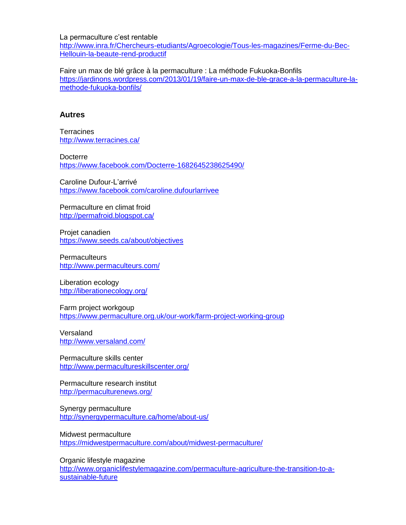La permaculture c'est rentable

[http://www.inra.fr/Chercheurs-etudiants/Agroecologie/Tous-les-magazines/Ferme-du-Bec-](http://www.inra.fr/Chercheurs-etudiants/Agroecologie/Tous-les-magazines/Ferme-du-Bec-Hellouin-la-beaute-rend-productif)[Hellouin-la-beaute-rend-productif](http://www.inra.fr/Chercheurs-etudiants/Agroecologie/Tous-les-magazines/Ferme-du-Bec-Hellouin-la-beaute-rend-productif)

Faire un max de blé grâce à la permaculture : La méthode Fukuoka-Bonfils [https://jardinons.wordpress.com/2013/01/19/faire-un-max-de-ble-grace-a-la-permaculture-la](https://jardinons.wordpress.com/2013/01/19/faire-un-max-de-ble-grace-a-la-permaculture-la-methode-fukuoka-bonfils/)[methode-fukuoka-bonfils/](https://jardinons.wordpress.com/2013/01/19/faire-un-max-de-ble-grace-a-la-permaculture-la-methode-fukuoka-bonfils/)

#### **Autres**

**Terracines** <http://www.terracines.ca/>

**Docterre** <https://www.facebook.com/Docterre-1682645238625490/>

Caroline Dufour-L'arrivé <https://www.facebook.com/caroline.dufourlarrivee>

Permaculture en climat froid <http://permafroid.blogspot.ca/>

Projet canadien <https://www.seeds.ca/about/objectives>

**Permaculteurs** <http://www.permaculteurs.com/>

Liberation ecology <http://liberationecology.org/>

Farm project workgoup <https://www.permaculture.org.uk/our-work/farm-project-working-group>

**Versaland** <http://www.versaland.com/>

Permaculture skills center <http://www.permacultureskillscenter.org/>

Permaculture research institut <http://permaculturenews.org/>

Synergy permaculture <http://synergypermaculture.ca/home/about-us/>

Midwest permaculture <https://midwestpermaculture.com/about/midwest-permaculture/>

Organic lifestyle magazine [http://www.organiclifestylemagazine.com/permaculture-agriculture-the-transition-to-a](http://www.organiclifestylemagazine.com/permaculture-agriculture-the-transition-to-a-sustainable-future)[sustainable-future](http://www.organiclifestylemagazine.com/permaculture-agriculture-the-transition-to-a-sustainable-future)